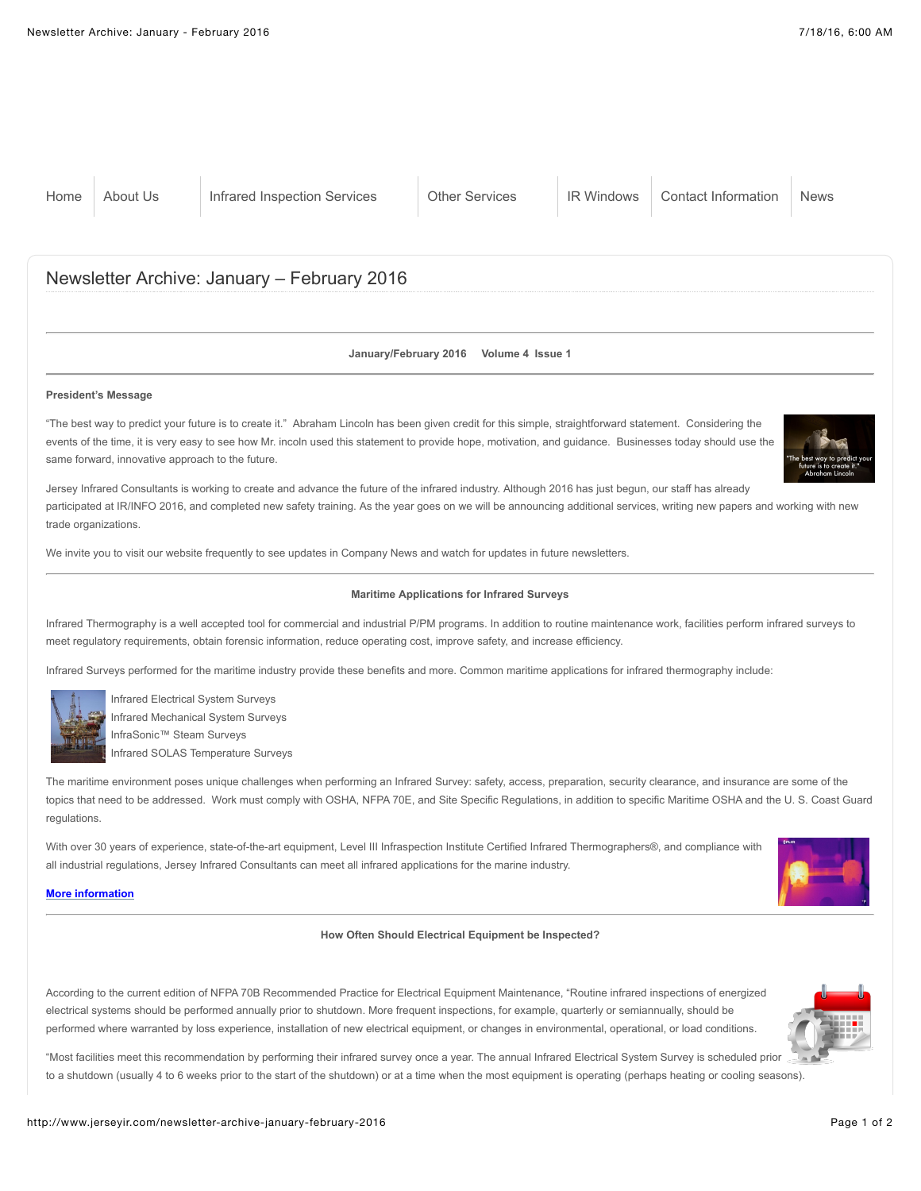# Newsletter Archive: January – February 2016

### **January/February 2016 Volume 4 Issue 1**

#### **President's Message**

"The best way to predict your future is to create it." Abraham Lincoln has been given credit for this simple, straightforward statement. Considering the events of the time, it is very easy to see how Mr. incoln used this statement to provide hope, motivation, and guidance. Businesses today should use the same forward, innovative approach to the future.



Jersey Infrared Consultants is working to create and advance the future of the infrared industry. Although 2016 has just begun, our staff has already participated at IR/INFO 2016, and completed new safety training. As the year goes on we will be announcing additional services, writing new papers and working with new trade organizations.

We invite you to visit our website frequently to see updates in Company News and watch for updates in future newsletters.

# **Maritime Applications for Infrared Surveys**

Infrared Thermography is a well accepted tool for commercial and industrial P/PM programs. In addition to routine maintenance work, facilities perform infrared surveys to meet regulatory requirements, obtain forensic information, reduce operating cost, improve safety, and increase efficiency.

Infrared Surveys performed for the maritime industry provide these benefits and more. Common maritime applications for infrared thermography include:



Infrared Electrical System Surveys Infrared Mechanical System Surveys InfraSonic™ Steam Surveys Infrared SOLAS Temperature Surveys

The maritime environment poses unique challenges when performing an Infrared Survey: safety, access, preparation, security clearance, and insurance are some of the topics that need to be addressed. Work must comply with OSHA, NFPA 70E, and Site Specific Regulations, in addition to specific Maritime OSHA and the U. S. Coast Guard regulations.

With over 30 years of experience, state-of-the-art equipment, Level III Infraspection Institute Certified Infrared Thermographers®, and compliance with all industrial regulations, Jersey Infrared Consultants can meet all infrared applications for the marine industry.

#### **[More information](http://www.jerseyir.com/infrared-inspection-services/maritime-infrared-surveys)**

## **How Often Should Electrical Equipment be Inspected?**

According to the current edition of NFPA 70B Recommended Practice for Electrical Equipment Maintenance, "Routine infrared inspections of energized electrical systems should be performed annually prior to shutdown. More frequent inspections, for example, quarterly or semiannually, should be performed where warranted by loss experience, installation of new electrical equipment, or changes in environmental, operational, or load conditions.



"Most facilities meet this recommendation by performing their infrared survey once a year. The annual Infrared Electrical System Survey is scheduled prior to a shutdown (usually 4 to 6 weeks prior to the start of the shutdown) or at a time when the most equipment is operating (perhaps heating or cooling seasons).